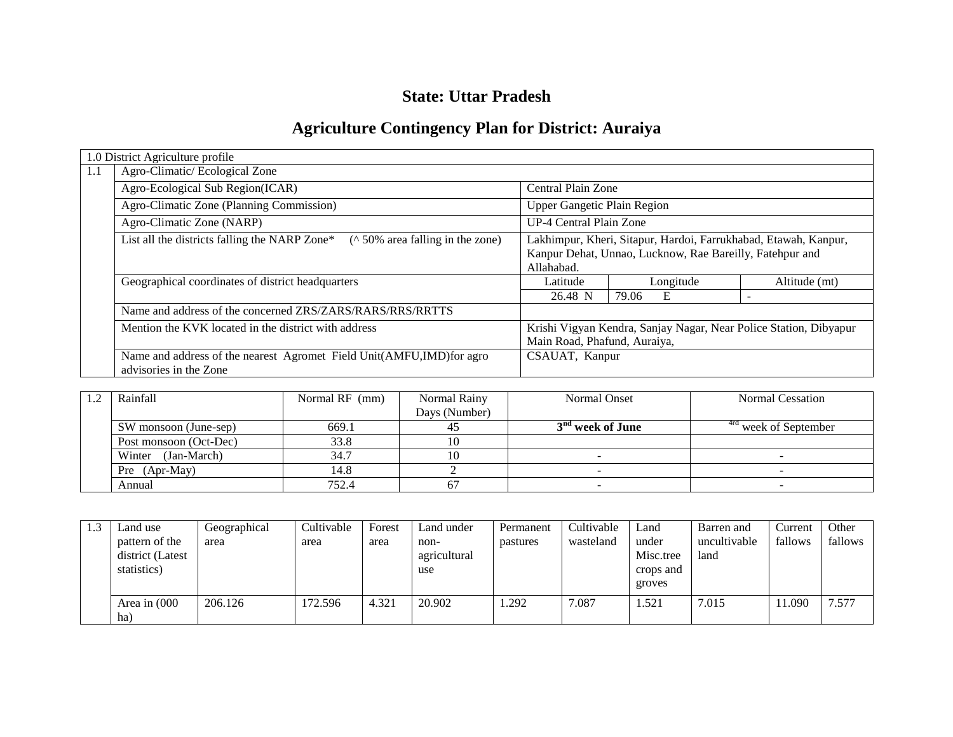# **State: Uttar Pradesh**

# **Agriculture Contingency Plan for District: Auraiya**

|     | 1.0 District Agriculture profile                                                               |                                                                                                                                           |            |                          |  |  |  |  |  |
|-----|------------------------------------------------------------------------------------------------|-------------------------------------------------------------------------------------------------------------------------------------------|------------|--------------------------|--|--|--|--|--|
| 1.1 | Agro-Climatic/Ecological Zone                                                                  |                                                                                                                                           |            |                          |  |  |  |  |  |
|     | Agro-Ecological Sub Region(ICAR)                                                               | Central Plain Zone                                                                                                                        |            |                          |  |  |  |  |  |
|     | Agro-Climatic Zone (Planning Commission)                                                       | <b>Upper Gangetic Plain Region</b>                                                                                                        |            |                          |  |  |  |  |  |
|     | Agro-Climatic Zone (NARP)                                                                      | UP-4 Central Plain Zone                                                                                                                   |            |                          |  |  |  |  |  |
|     | $($ \landom 50% area falling in the zone)<br>List all the districts falling the NARP Zone*     | Lakhimpur, Kheri, Sitapur, Hardoi, Farrukhabad, Etawah, Kanpur,<br>Kanpur Dehat, Unnao, Lucknow, Rae Bareilly, Fatehpur and<br>Allahabad. |            |                          |  |  |  |  |  |
|     | Geographical coordinates of district headquarters                                              | Latitude                                                                                                                                  | Longitude  | Altitude (mt)            |  |  |  |  |  |
|     |                                                                                                | 26.48 N                                                                                                                                   | 79.06<br>E | $\overline{\phantom{0}}$ |  |  |  |  |  |
|     | Name and address of the concerned ZRS/ZARS/RARS/RRS/RRTTS                                      |                                                                                                                                           |            |                          |  |  |  |  |  |
|     | Mention the KVK located in the district with address                                           | Krishi Vigyan Kendra, Sanjay Nagar, Near Police Station, Dibyapur<br>Main Road, Phafund, Auraiya,                                         |            |                          |  |  |  |  |  |
|     | Name and address of the nearest Agromet Field Unit(AMFU,IMD)for agro<br>advisories in the Zone | CSAUAT, Kanpur                                                                                                                            |            |                          |  |  |  |  |  |

| Rainfall                       | Normal RF (mm) | Normal Rainy  | Normal Onset                 | <b>Normal Cessation</b>          |  |
|--------------------------------|----------------|---------------|------------------------------|----------------------------------|--|
|                                |                | Days (Number) |                              |                                  |  |
| SW monsoon (June-sep)          | 669.1          |               | 3 <sup>nd</sup> week of June | <sup>4rd</sup> week of September |  |
| 33.8<br>Post monsoon (Oct-Dec) |                |               |                              |                                  |  |
| Winter (Jan-March)             | 34.7           |               |                              |                                  |  |
| Pre (Apr-May)<br>14.8          |                |               |                              |                                  |  |
| Annual                         | 752.4          |               |                              |                                  |  |

| 1.3 | Land use<br>pattern of the<br>district (Latest<br>statistics) | Geographical<br>area | Cultivable<br>area | Forest<br>area | Land under<br>non-<br>agricultural<br>use | Permanent<br>pastures | Cultivable<br>wasteland | Land<br>under<br>Misc.tree<br>crops and<br>groves | Barren and<br>uncultivable<br>land | Current<br>fallows | Other<br>fallows |
|-----|---------------------------------------------------------------|----------------------|--------------------|----------------|-------------------------------------------|-----------------------|-------------------------|---------------------------------------------------|------------------------------------|--------------------|------------------|
|     | Area in (000<br>ha)                                           | 206.126              | 172.596            | 4.321          | 20.902                                    | .292                  | 7.087                   | 1.521                                             | 7.015                              | .090               | 7.577            |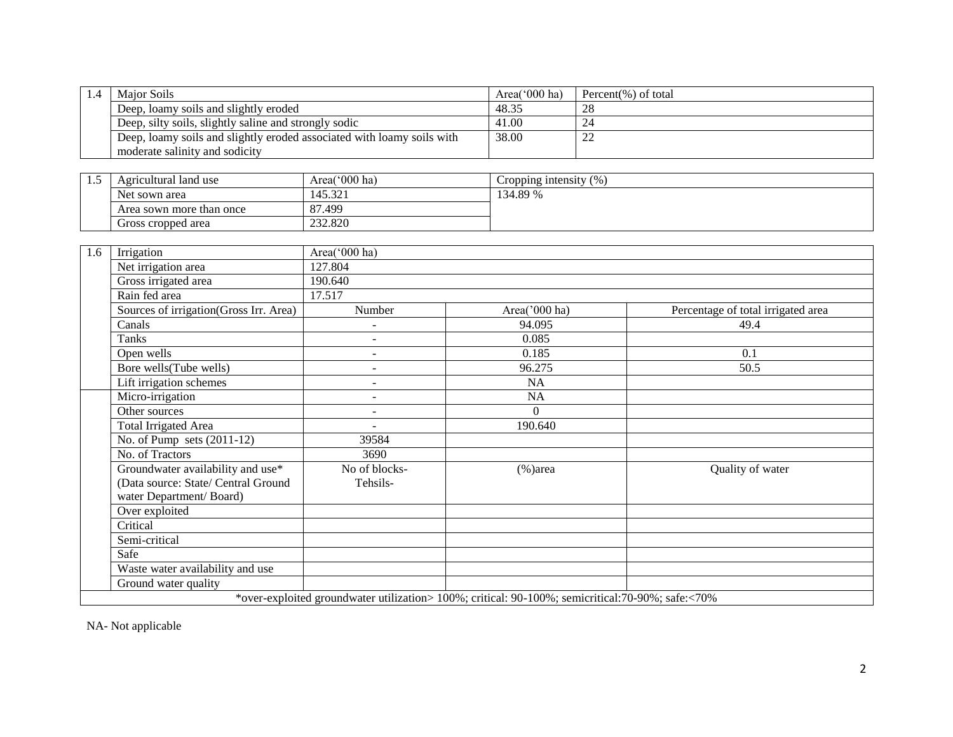| $\overline{1.4}$ | <b>Major Soils</b>                                                     |                                                                                                  | Area('000 ha)          | Percent $(\%)$ of total            |
|------------------|------------------------------------------------------------------------|--------------------------------------------------------------------------------------------------|------------------------|------------------------------------|
|                  | Deep, loamy soils and slightly eroded                                  |                                                                                                  | 48.35                  | 28                                 |
|                  | Deep, silty soils, slightly saline and strongly sodic                  |                                                                                                  | 41.00                  | $\overline{24}$                    |
|                  | Deep, loamy soils and slightly eroded associated with loamy soils with |                                                                                                  | 38.00                  | 22                                 |
|                  | moderate salinity and sodicity                                         |                                                                                                  |                        |                                    |
|                  |                                                                        |                                                                                                  |                        |                                    |
| 1.5              | Agricultural land use                                                  | Area('000 ha)                                                                                    | Cropping intensity (%) |                                    |
|                  | Net sown area                                                          | 145.321                                                                                          | 134.89 %               |                                    |
|                  | Area sown more than once                                               | 87.499                                                                                           |                        |                                    |
|                  | Gross cropped area                                                     | 232.820                                                                                          |                        |                                    |
|                  |                                                                        |                                                                                                  |                        |                                    |
| 1.6              | Irrigation                                                             | Area('000 ha)                                                                                    |                        |                                    |
|                  | Net irrigation area                                                    | 127.804                                                                                          |                        |                                    |
|                  | Gross irrigated area                                                   | 190.640                                                                                          |                        |                                    |
|                  | Rain fed area                                                          | 17.517                                                                                           |                        |                                    |
|                  | Sources of irrigation(Gross Irr. Area)                                 | Number                                                                                           | Area('000 ha)          | Percentage of total irrigated area |
|                  | Canals                                                                 |                                                                                                  | 94.095                 | 49.4                               |
|                  | <b>Tanks</b>                                                           | $\overline{a}$                                                                                   | 0.085                  |                                    |
|                  | Open wells                                                             |                                                                                                  | 0.185                  | 0.1                                |
|                  | Bore wells(Tube wells)                                                 | $\blacksquare$                                                                                   | 96.275                 | 50.5                               |
|                  | Lift irrigation schemes                                                | $\overline{a}$                                                                                   | NA                     |                                    |
|                  | Micro-irrigation                                                       | $\sim$                                                                                           | NA                     |                                    |
|                  | Other sources                                                          | $\sim$                                                                                           | $\overline{0}$         |                                    |
|                  | <b>Total Irrigated Area</b>                                            |                                                                                                  | 190.640                |                                    |
|                  | No. of Pump sets $(2011-12)$                                           | 39584                                                                                            |                        |                                    |
|                  | No. of Tractors                                                        | 3690                                                                                             |                        |                                    |
|                  | Groundwater availability and use*                                      | No of blocks-                                                                                    | $(\% )$ area           | Quality of water                   |
|                  | (Data source: State/ Central Ground                                    | Tehsils-                                                                                         |                        |                                    |
|                  | water Department/Board)                                                |                                                                                                  |                        |                                    |
|                  | Over exploited                                                         |                                                                                                  |                        |                                    |
|                  | Critical                                                               |                                                                                                  |                        |                                    |
|                  | Semi-critical                                                          |                                                                                                  |                        |                                    |
|                  | Safe                                                                   |                                                                                                  |                        |                                    |
|                  | Waste water availability and use                                       |                                                                                                  |                        |                                    |
|                  | Ground water quality                                                   |                                                                                                  |                        |                                    |
|                  |                                                                        | *over-exploited groundwater utilization> 100%; critical: 90-100%; semicritical:70-90%; safe:<70% |                        |                                    |

NA- Not applicable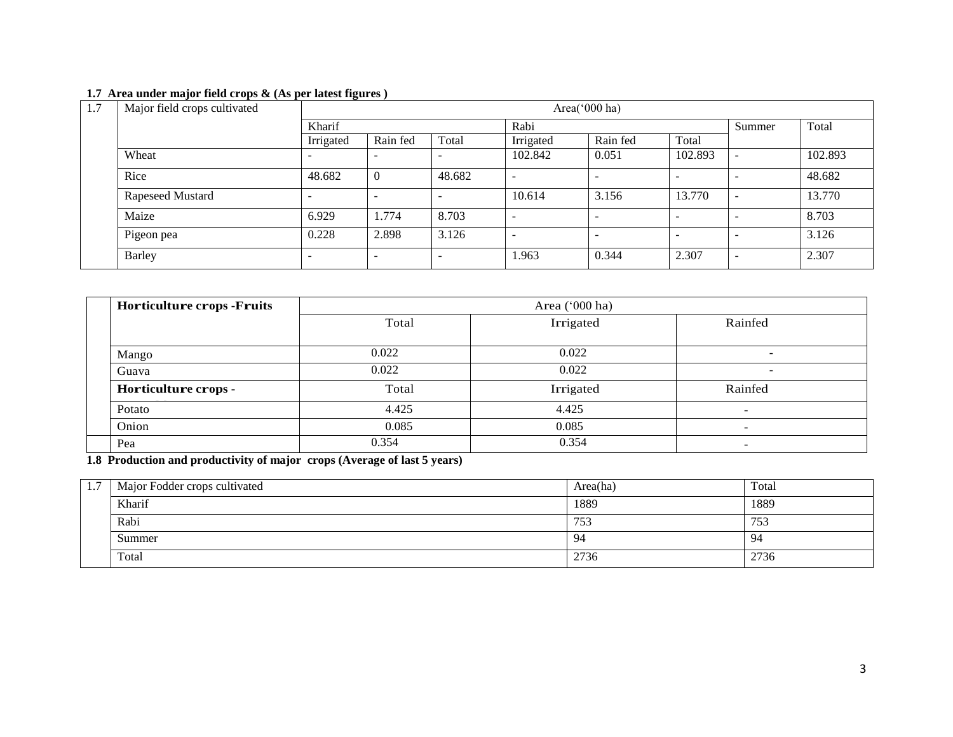#### **1.7 Area under major field crops & (As per latest figures )**

| 1.7 | Major field crops cultivated |                          | Area('000 ha) |        |           |          |                          |                          |         |  |  |  |
|-----|------------------------------|--------------------------|---------------|--------|-----------|----------|--------------------------|--------------------------|---------|--|--|--|
|     |                              | Kharif                   |               |        | Rabi      |          |                          |                          | Total   |  |  |  |
|     |                              | Irrigated                | Rain fed      | Total  | Irrigated | Rain fed | Total                    |                          |         |  |  |  |
|     | Wheat                        |                          |               |        | 102.842   | 0.051    | 102.893                  |                          | 102.893 |  |  |  |
|     | Rice                         | 48.682                   | $\theta$      | 48.682 |           | -        | -                        |                          | 48.682  |  |  |  |
|     | Rapeseed Mustard             | $\overline{\phantom{a}}$ |               |        | 10.614    | 3.156    | 13.770                   | $\overline{\phantom{0}}$ | 13.770  |  |  |  |
|     | Maize                        | 6.929                    | 1.774         | 8.703  |           |          | $\overline{\phantom{a}}$ |                          | 8.703   |  |  |  |
|     | Pigeon pea                   | 0.228                    | 2.898         | 3.126  |           |          | $\overline{\phantom{a}}$ |                          | 3.126   |  |  |  |
|     | <b>Barley</b>                | $\overline{\phantom{0}}$ |               |        | 1.963     | 0.344    | 2.307                    | -                        | 2.307   |  |  |  |

| <b>Horticulture crops -Fruits</b> | Area ('000 ha) |           |                          |  |  |  |
|-----------------------------------|----------------|-----------|--------------------------|--|--|--|
|                                   | Total          | Irrigated | Rainfed                  |  |  |  |
| Mango                             | 0.022          | 0.022     | $\overline{\phantom{a}}$ |  |  |  |
| Guava                             | 0.022          | 0.022     | $\overline{\phantom{a}}$ |  |  |  |
| Horticulture crops -              | Total          | Irrigated | Rainfed                  |  |  |  |
| Potato                            | 4.425          | 4.425     | $\overline{\phantom{0}}$ |  |  |  |
| Onion                             | 0.085          | 0.085     |                          |  |  |  |
| Pea                               | 0.354          | 0.354     |                          |  |  |  |

**1.8 Production and productivity of major crops (Average of last 5 years)**

| 1.7 | Major Fodder crops cultivated | Area(ha) | Total |
|-----|-------------------------------|----------|-------|
|     | Kharif                        | 1889     | 1889  |
|     | Rabi                          | 753      | 753   |
|     | Summer                        | 94       | 94    |
|     | Total                         | 2736     | 2736  |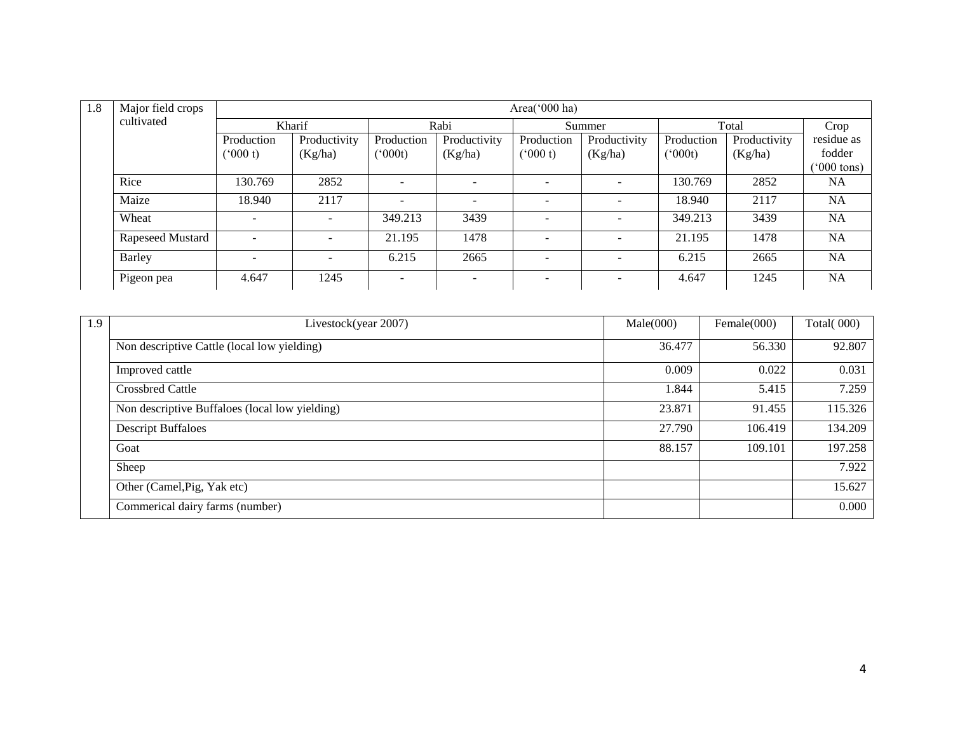| 1.8 | Major field crops |                          |                          |                          |                          | Area('000 ha)            |              |              |              |                      |
|-----|-------------------|--------------------------|--------------------------|--------------------------|--------------------------|--------------------------|--------------|--------------|--------------|----------------------|
|     | cultivated        | Kharif                   |                          |                          | Rabi                     |                          | Summer       |              | Total        |                      |
|     |                   | Production               | Productivity             | Production               | Productivity             | Production               | Productivity | Production   | Productivity | residue as           |
|     |                   | (000 t)                  | (Kg/ha)                  | $(^{o}000t)$             | (Kg/ha)                  | (000 t)                  | (Kg/ha)      | $(^{o}000t)$ | (Kg/ha)      | fodder               |
|     |                   |                          |                          |                          |                          |                          |              |              |              | $^{\prime}000$ tons) |
|     | Rice              | 130.769                  | 2852                     | $\sim$                   |                          |                          |              | 130.769      | 2852         | <b>NA</b>            |
|     | Maize             | 18.940                   | 2117                     | $\overline{\phantom{0}}$ | $\overline{\phantom{0}}$ |                          |              | 18.940       | 2117         | <b>NA</b>            |
|     | Wheat             | $\overline{\phantom{a}}$ | $\overline{\phantom{a}}$ | 349.213                  | 3439                     | $\overline{\phantom{a}}$ |              | 349.213      | 3439         | <b>NA</b>            |
|     | Rapeseed Mustard  | $\sim$                   | $\overline{\phantom{a}}$ | 21.195                   | 1478                     | $\overline{\phantom{a}}$ |              | 21.195       | 1478         | <b>NA</b>            |
|     | Barley            | $\overline{\phantom{a}}$ |                          | 6.215                    | 2665                     |                          |              | 6.215        | 2665         | <b>NA</b>            |
|     | Pigeon pea        | 4.647                    | 1245                     | $\overline{\phantom{a}}$ |                          |                          |              | 4.647        | 1245         | <b>NA</b>            |

| 1.9 | Livestock(year 2007)                           | Male(000) | Female $(000)$ | <b>Total(000)</b> |
|-----|------------------------------------------------|-----------|----------------|-------------------|
|     | Non descriptive Cattle (local low yielding)    | 36.477    | 56.330         | 92.807            |
|     | Improved cattle                                | 0.009     | 0.022          | 0.031             |
|     | <b>Crossbred Cattle</b>                        | 1.844     | 5.415          | 7.259             |
|     | Non descriptive Buffaloes (local low yielding) | 23.871    | 91.455         | 115.326           |
|     | <b>Descript Buffaloes</b>                      | 27.790    | 106.419        | 134.209           |
|     | Goat                                           | 88.157    | 109.101        | 197.258           |
|     | Sheep                                          |           |                | 7.922             |
|     | Other (Camel, Pig, Yak etc)                    |           |                | 15.627            |
|     | Commerical dairy farms (number)                |           |                | 0.000             |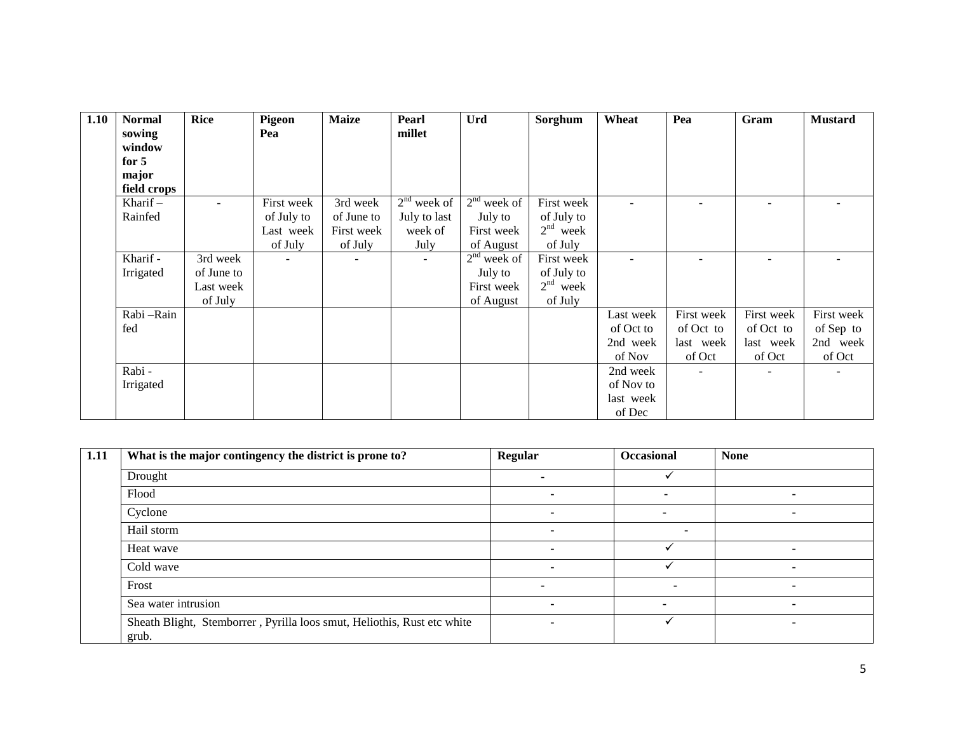| 1.10 | <b>Normal</b> | <b>Rice</b> | Pigeon     | <b>Maize</b> | Pearl                    | <b>Urd</b>    | Sorghum    | Wheat     | Pea                      | Gram       | <b>Mustard</b> |
|------|---------------|-------------|------------|--------------|--------------------------|---------------|------------|-----------|--------------------------|------------|----------------|
|      | sowing        |             | Pea        |              | millet                   |               |            |           |                          |            |                |
|      | window        |             |            |              |                          |               |            |           |                          |            |                |
|      | for $5$       |             |            |              |                          |               |            |           |                          |            |                |
|      | major         |             |            |              |                          |               |            |           |                          |            |                |
|      | field crops   |             |            |              |                          |               |            |           |                          |            |                |
|      | Kharif $-$    | $\sim$      | First week | 3rd week     | $2nd$ week of            | $2nd$ week of | First week |           | $\overline{\phantom{a}}$ |            |                |
|      | Rainfed       |             | of July to | of June to   | July to last             | July to       | of July to |           |                          |            |                |
|      |               |             | Last week  | First week   | week of                  | First week    | $2nd$ week |           |                          |            |                |
|      |               |             | of July    | of July      | July                     | of August     | of July    |           |                          |            |                |
|      | Kharif -      | 3rd week    |            |              | $\overline{\phantom{a}}$ | $2nd$ week of | First week |           |                          |            |                |
|      | Irrigated     | of June to  |            |              |                          | July to       | of July to |           |                          |            |                |
|      |               | Last week   |            |              |                          | First week    | $2nd$ week |           |                          |            |                |
|      |               | of July     |            |              |                          | of August     | of July    |           |                          |            |                |
|      | Rabi - Rain   |             |            |              |                          |               |            | Last week | First week               | First week | First week     |
|      | fed           |             |            |              |                          |               |            | of Oct to | of Oct to                | of Oct to  | of Sep to      |
|      |               |             |            |              |                          |               |            | 2nd week  | last week                | last week  | 2nd week       |
|      |               |             |            |              |                          |               |            | of Nov    | of Oct                   | of Oct     | of Oct         |
|      | Rabi -        |             |            |              |                          |               |            | 2nd week  | $\overline{\phantom{a}}$ |            |                |
|      | Irrigated     |             |            |              |                          |               |            | of Nov to |                          |            |                |
|      |               |             |            |              |                          |               |            | last week |                          |            |                |
|      |               |             |            |              |                          |               |            | of Dec    |                          |            |                |

| 1.11 | What is the major contingency the district is prone to?                          | <b>Regular</b>           | <b>Occasional</b> | <b>None</b> |
|------|----------------------------------------------------------------------------------|--------------------------|-------------------|-------------|
|      | Drought                                                                          |                          |                   |             |
|      | Flood                                                                            |                          |                   |             |
|      | Cyclone                                                                          |                          |                   | ۰           |
|      | Hail storm                                                                       |                          |                   |             |
|      | Heat wave                                                                        |                          |                   |             |
|      | Cold wave                                                                        |                          |                   | -           |
|      | Frost                                                                            |                          |                   | -           |
|      | Sea water intrusion                                                              |                          |                   | -           |
|      | Sheath Blight, Stemborrer, Pyrilla loos smut, Heliothis, Rust etc white<br>grub. | $\overline{\phantom{a}}$ |                   | -           |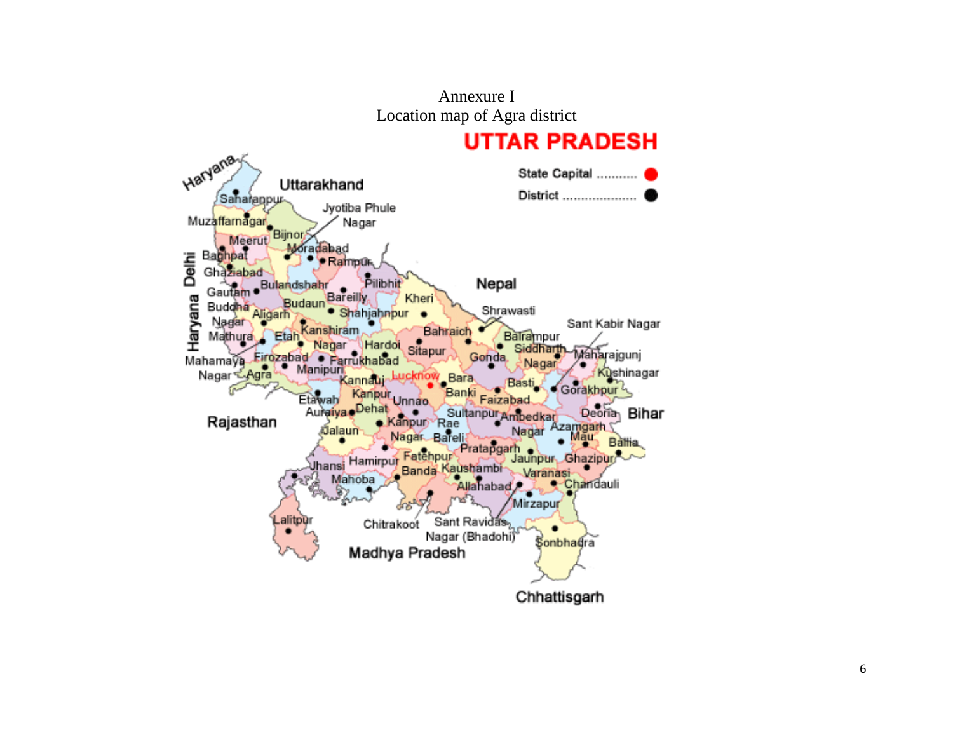Annexure I Location map of Agra district

# **UTTAR PRADESH**

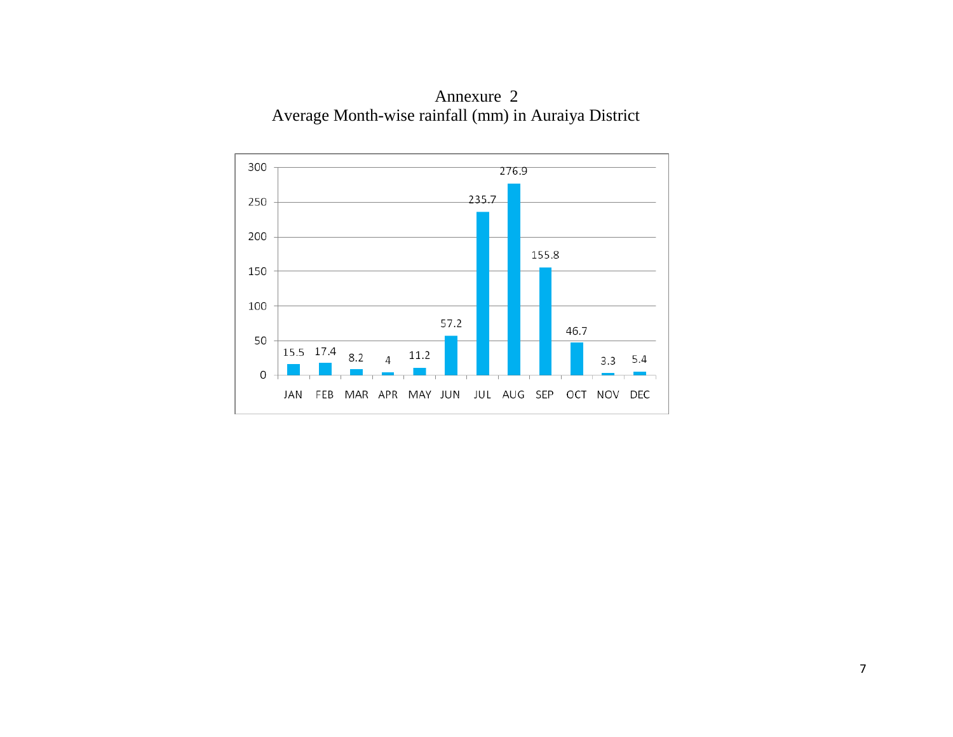

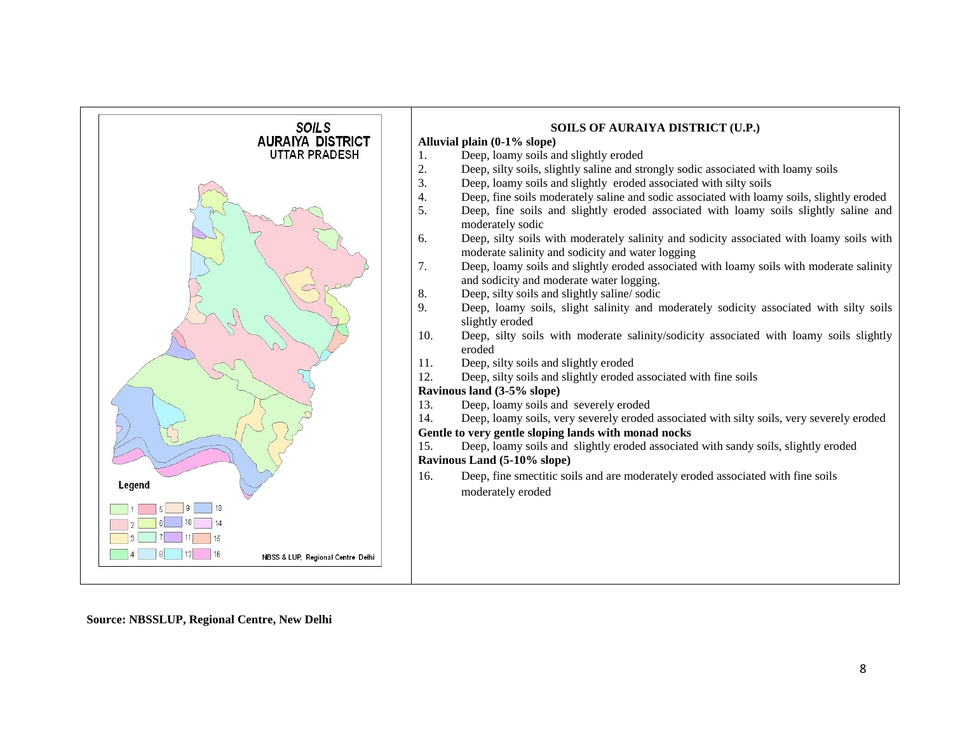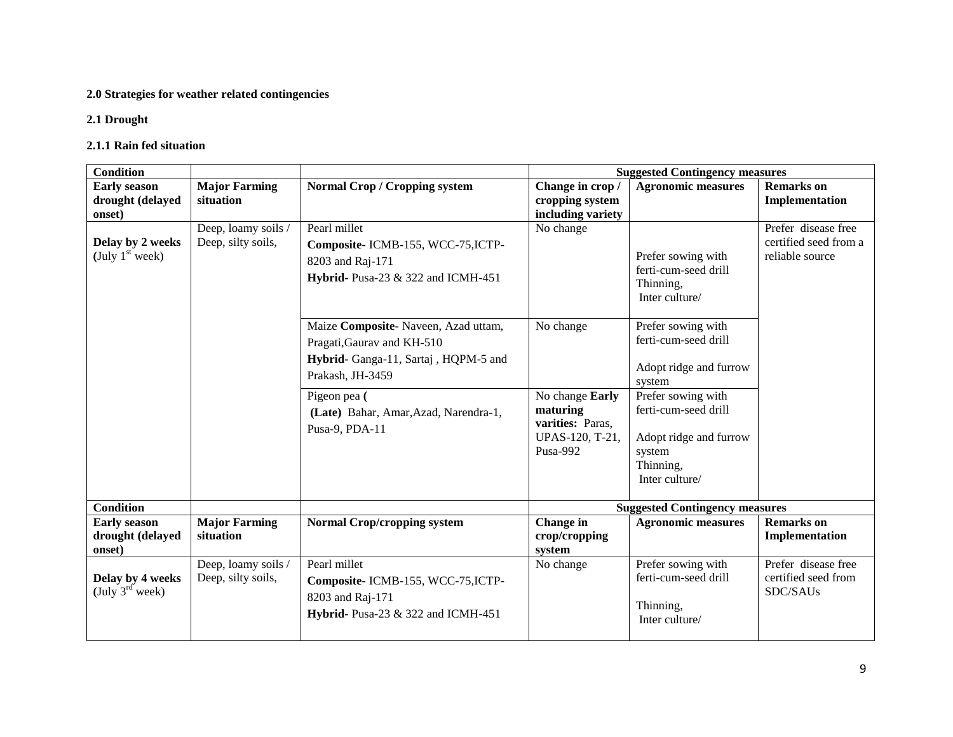#### **2.0 Strategies for weather related contingencies**

#### **2.1 Drought**

#### **2.1.1 Rain fed situation**

| <b>Condition</b>                                                |                                           |                                                                                                                               | <b>Suggested Contingency measures</b>                                          |                                                                                                               |                                                                 |  |  |  |
|-----------------------------------------------------------------|-------------------------------------------|-------------------------------------------------------------------------------------------------------------------------------|--------------------------------------------------------------------------------|---------------------------------------------------------------------------------------------------------------|-----------------------------------------------------------------|--|--|--|
| <b>Early season</b><br>drought (delayed<br>onset)               | <b>Major Farming</b><br>situation         | <b>Normal Crop / Cropping system</b>                                                                                          | Change in crop /<br>cropping system<br>including variety                       | <b>Agronomic measures</b>                                                                                     | <b>Remarks</b> on<br>Implementation                             |  |  |  |
| Delay by 2 weeks<br>(July $1st$ week)                           | Deep, loamy soils /<br>Deep, silty soils, | Pearl millet<br>Composite-ICMB-155, WCC-75, ICTP-<br>8203 and Raj-171<br>Hybrid- Pusa-23 & 322 and ICMH-451                   | No change                                                                      | Prefer sowing with<br>ferti-cum-seed drill<br>Thinning,<br>Inter culture/                                     | Prefer disease free<br>certified seed from a<br>reliable source |  |  |  |
|                                                                 |                                           | Maize Composite-Naveen, Azad uttam,<br>Pragati, Gaurav and KH-510<br>Hybrid- Ganga-11, Sartaj, HQPM-5 and<br>Prakash, JH-3459 | No change                                                                      | Prefer sowing with<br>ferti-cum-seed drill<br>Adopt ridge and furrow<br>system                                |                                                                 |  |  |  |
|                                                                 |                                           | Pigeon pea (<br>(Late) Bahar, Amar, Azad, Narendra-1,<br>Pusa-9, PDA-11                                                       | No change Early<br>maturing<br>varities: Paras,<br>UPAS-120, T-21,<br>Pusa-992 | Prefer sowing with<br>ferti-cum-seed drill<br>Adopt ridge and furrow<br>system<br>Thinning,<br>Inter culture/ |                                                                 |  |  |  |
| <b>Condition</b>                                                |                                           |                                                                                                                               |                                                                                | <b>Suggested Contingency measures</b>                                                                         |                                                                 |  |  |  |
| <b>Early season</b><br>drought (delayed<br>onset)               | <b>Major Farming</b><br>situation         | <b>Normal Crop/cropping system</b>                                                                                            | Change in<br>crop/cropping<br>system                                           | <b>Agronomic measures</b>                                                                                     | <b>Remarks</b> on<br>Implementation                             |  |  |  |
| Delay by 4 weeks<br>$(\text{July } 3^{\text{rd}} \text{ week})$ | Deep, loamy soils /<br>Deep, silty soils, | Pearl millet<br>Composite-ICMB-155, WCC-75, ICTP-<br>8203 and Raj-171<br>Hybrid- Pusa-23 & 322 and ICMH-451                   | No change                                                                      | Prefer sowing with<br>ferti-cum-seed drill<br>Thinning,<br>Inter culture/                                     | Prefer disease free<br>certified seed from<br>SDC/SAUs          |  |  |  |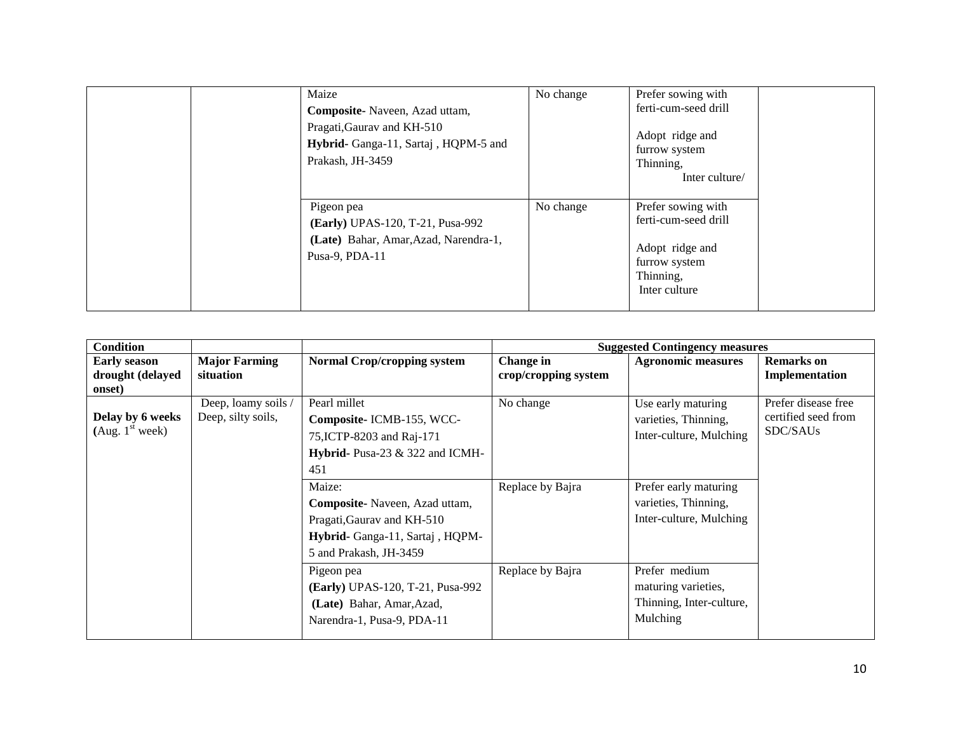| Maize<br>Composite-Naveen, Azad uttam,<br>Pragati, Gaurav and KH-510<br>Hybrid- Ganga-11, Sartaj, HQPM-5 and<br>Prakash, JH-3459 | No change | Prefer sowing with<br>ferti-cum-seed drill<br>Adopt ridge and<br>furrow system<br>Thinning,<br>Inter culture/ |
|----------------------------------------------------------------------------------------------------------------------------------|-----------|---------------------------------------------------------------------------------------------------------------|
| Pigeon pea<br>(Early) UPAS-120, T-21, Pusa-992<br>(Late) Bahar, Amar, Azad, Narendra-1,<br>Pusa-9, PDA-11                        | No change | Prefer sowing with<br>ferti-cum-seed drill<br>Adopt ridge and<br>furrow system<br>Thinning,<br>Inter culture  |

| <b>Condition</b>                                  |                                           |                                                                                                                                                           |                                   | <b>Suggested Contingency measures</b>                                                                                  |                                                        |
|---------------------------------------------------|-------------------------------------------|-----------------------------------------------------------------------------------------------------------------------------------------------------------|-----------------------------------|------------------------------------------------------------------------------------------------------------------------|--------------------------------------------------------|
| <b>Early season</b><br>drought (delayed<br>onset) | <b>Major Farming</b><br>situation         | <b>Normal Crop/cropping system</b>                                                                                                                        | Change in<br>crop/cropping system | <b>Agronomic measures</b>                                                                                              | <b>Remarks</b> on<br>Implementation                    |
| Delay by 6 weeks<br>(Aug. 1 <sup>st</sup> week)   | Deep, loamy soils /<br>Deep, silty soils, | Pearl millet<br>Composite-ICMB-155, WCC-<br>75, ICTP-8203 and Raj-171<br>Hybrid-Pusa-23 & 322 and ICMH-<br>451<br>Maize:<br>Composite-Naveen, Azad uttam, | No change<br>Replace by Bajra     | Use early maturing<br>varieties, Thinning,<br>Inter-culture, Mulching<br>Prefer early maturing<br>varieties, Thinning, | Prefer disease free<br>certified seed from<br>SDC/SAUs |
|                                                   |                                           | Pragati, Gaurav and KH-510<br>Hybrid- Ganga-11, Sartaj, HQPM-<br>5 and Prakash, JH-3459                                                                   |                                   | Inter-culture, Mulching                                                                                                |                                                        |
|                                                   |                                           | Pigeon pea<br>(Early) UPAS-120, T-21, Pusa-992<br>(Late) Bahar, Amar, Azad,<br>Narendra-1, Pusa-9, PDA-11                                                 | Replace by Bajra                  | Prefer medium<br>maturing varieties,<br>Thinning, Inter-culture,<br>Mulching                                           |                                                        |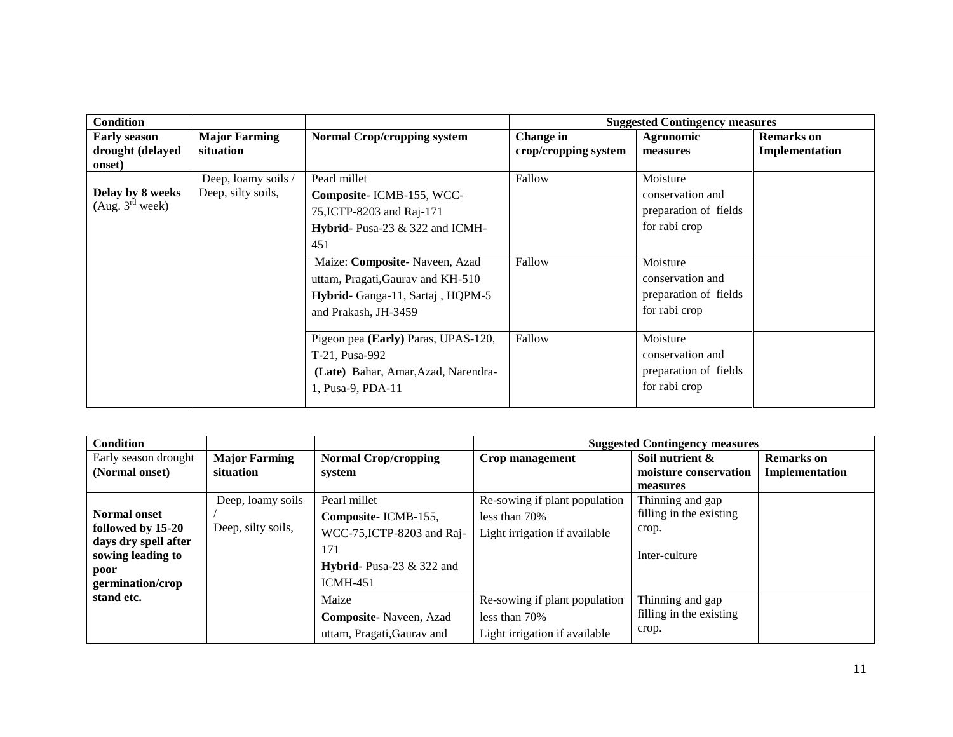| <b>Major Farming</b> | <b>Normal Crop/cropping system</b>  | Change in                           | Agronomic             | <b>Remarks</b> on                     |
|----------------------|-------------------------------------|-------------------------------------|-----------------------|---------------------------------------|
| situation            |                                     | crop/cropping system                | measures              | Implementation                        |
|                      |                                     |                                     |                       |                                       |
| Deep, loamy soils /  | Pearl millet                        | Fallow                              | Moisture              |                                       |
|                      | Composite-ICMB-155, WCC-            |                                     | conservation and      |                                       |
|                      | 75, ICTP-8203 and Raj-171           |                                     | preparation of fields |                                       |
|                      | Hybrid- Pusa-23 & 322 and ICMH-     |                                     | for rabi crop         |                                       |
|                      | 451                                 |                                     |                       |                                       |
|                      | Maize: Composite- Naveen, Azad      | Fallow                              | Moisture              |                                       |
|                      | uttam, Pragati, Gaurav and KH-510   |                                     | conservation and      |                                       |
|                      | Hybrid- Ganga-11, Sartaj, HQPM-5    |                                     | preparation of fields |                                       |
|                      | and Prakash, JH-3459                |                                     | for rabi crop         |                                       |
|                      |                                     |                                     |                       |                                       |
|                      |                                     |                                     | Moisture              |                                       |
|                      | T-21, Pusa-992                      |                                     | conservation and      |                                       |
|                      | (Late) Bahar, Amar, Azad, Narendra- |                                     | preparation of fields |                                       |
|                      | 1, Pusa-9, PDA-11                   |                                     | for rabi crop         |                                       |
|                      | Deep, silty soils,                  | Pigeon pea (Early) Paras, UPAS-120, | Fallow                | <b>Suggested Contingency measures</b> |

| <b>Condition</b>                          |                      |                                     |                               | <b>Suggested Contingency measures</b> |                   |
|-------------------------------------------|----------------------|-------------------------------------|-------------------------------|---------------------------------------|-------------------|
| Early season drought                      | <b>Major Farming</b> | <b>Normal Crop/cropping</b>         | Crop management               | Soil nutrient &                       | <b>Remarks</b> on |
| (Normal onset)                            | situation            | system                              |                               | moisture conservation                 | Implementation    |
|                                           |                      |                                     |                               | measures                              |                   |
|                                           | Deep, loamy soils    | Pearl millet                        | Re-sowing if plant population | Thinning and gap                      |                   |
| <b>Normal onset</b>                       |                      | Composite-ICMB-155,                 | less than 70%                 | filling in the existing               |                   |
| followed by 15-20                         | Deep, silty soils,   | WCC-75, ICTP-8203 and Raj-          | Light irrigation if available | crop.                                 |                   |
| days dry spell after<br>sowing leading to |                      | 171                                 |                               | Inter-culture                         |                   |
| poor                                      |                      | <b>Hybrid-</b> Pusa-23 $\&$ 322 and |                               |                                       |                   |
| germination/crop                          |                      | $ICMH-451$                          |                               |                                       |                   |
| stand etc.                                |                      | Maize                               | Re-sowing if plant population | Thinning and gap                      |                   |
|                                           |                      | <b>Composite-</b> Naveen, Azad      | less than 70%                 | filling in the existing               |                   |
|                                           |                      | uttam, Pragati, Gaurav and          | Light irrigation if available | crop.                                 |                   |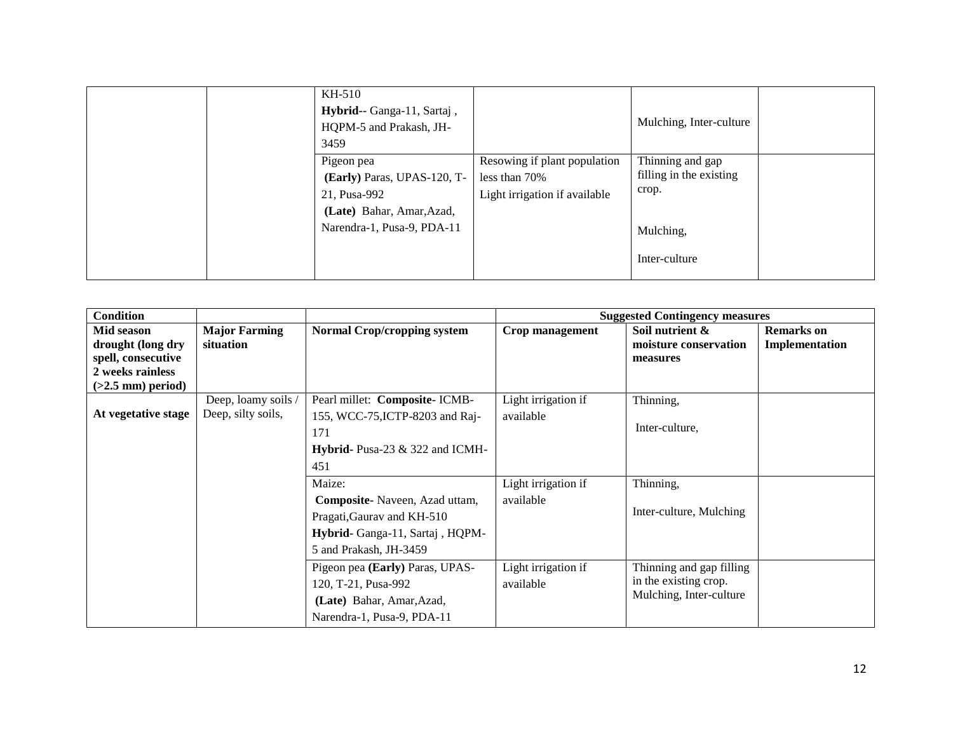| KH-510<br>Hybrid-- Ganga-11, Sartaj,<br>HQPM-5 and Prakash, JH-<br>3459                                              |                                                                                | Mulching, Inter-culture                                                            |  |
|----------------------------------------------------------------------------------------------------------------------|--------------------------------------------------------------------------------|------------------------------------------------------------------------------------|--|
| Pigeon pea<br>(Early) Paras, UPAS-120, T-<br>21, Pusa-992<br>(Late) Bahar, Amar, Azad,<br>Narendra-1, Pusa-9, PDA-11 | Resowing if plant population<br>less than 70%<br>Light irrigation if available | Thinning and gap<br>filling in the existing<br>crop.<br>Mulching,<br>Inter-culture |  |

| <b>Condition</b>                                                                                 |                                           |                                                                                                                                    |                                  | <b>Suggested Contingency measures</b>                                        |                                     |
|--------------------------------------------------------------------------------------------------|-------------------------------------------|------------------------------------------------------------------------------------------------------------------------------------|----------------------------------|------------------------------------------------------------------------------|-------------------------------------|
| Mid season<br>drought (long dry<br>spell, consecutive<br>2 weeks rainless<br>$(>2.5$ mm) period) | <b>Major Farming</b><br>situation         | <b>Normal Crop/cropping system</b>                                                                                                 | Crop management                  | Soil nutrient &<br>moisture conservation<br>measures                         | <b>Remarks</b> on<br>Implementation |
| At vegetative stage                                                                              | Deep, loamy soils /<br>Deep, silty soils, | Pearl millet: Composite- ICMB-<br>155, WCC-75, ICTP-8203 and Raj-<br>171<br>Hybrid- Pusa-23 & 322 and ICMH-<br>451                 | Light irrigation if<br>available | Thinning,<br>Inter-culture.                                                  |                                     |
|                                                                                                  |                                           | Maize:<br>Composite-Naveen, Azad uttam,<br>Pragati, Gaurav and KH-510<br>Hybrid- Ganga-11, Sartaj, HQPM-<br>5 and Prakash, JH-3459 | Light irrigation if<br>available | Thinning,<br>Inter-culture, Mulching                                         |                                     |
|                                                                                                  |                                           | Pigeon pea (Early) Paras, UPAS-<br>120, T-21, Pusa-992<br>(Late) Bahar, Amar, Azad,<br>Narendra-1, Pusa-9, PDA-11                  | Light irrigation if<br>available | Thinning and gap filling<br>in the existing crop.<br>Mulching, Inter-culture |                                     |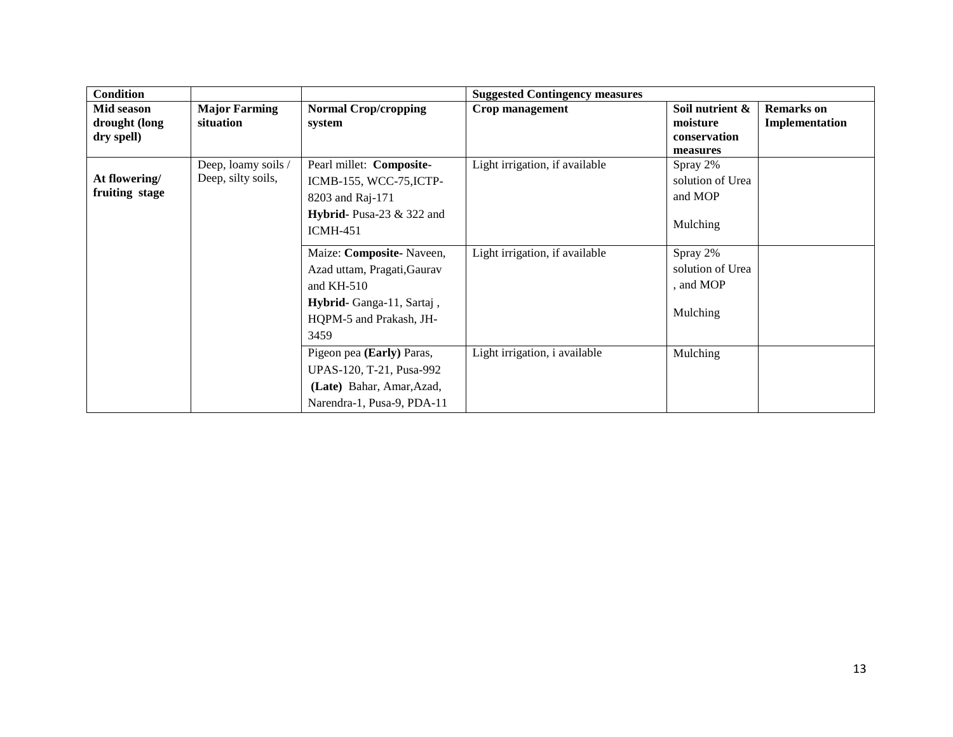| <b>Condition</b> |                      |                             | <b>Suggested Contingency measures</b> |                  |                   |
|------------------|----------------------|-----------------------------|---------------------------------------|------------------|-------------------|
| Mid season       | <b>Major Farming</b> | <b>Normal Crop/cropping</b> | Crop management                       | Soil nutrient &  | <b>Remarks</b> on |
| drought (long    | situation            | system                      |                                       | moisture         | Implementation    |
| dry spell)       |                      |                             |                                       | conservation     |                   |
|                  |                      |                             |                                       | measures         |                   |
|                  | Deep, loamy soils /  | Pearl millet: Composite-    | Light irrigation, if available        | Spray 2%         |                   |
| At flowering/    | Deep, silty soils,   | ICMB-155, WCC-75, ICTP-     |                                       | solution of Urea |                   |
| fruiting stage   |                      | 8203 and Raj-171            |                                       | and MOP          |                   |
|                  |                      | Hybrid-Pusa-23 $&$ 322 and  |                                       |                  |                   |
|                  |                      | $ICMH-451$                  |                                       | Mulching         |                   |
|                  |                      |                             |                                       |                  |                   |
|                  |                      | Maize: Composite-Naveen,    | Light irrigation, if available        | Spray 2%         |                   |
|                  |                      | Azad uttam, Pragati, Gaurav |                                       | solution of Urea |                   |
|                  |                      | and $KH-510$                |                                       | , and MOP        |                   |
|                  |                      | Hybrid- Ganga-11, Sartaj,   |                                       |                  |                   |
|                  |                      | HQPM-5 and Prakash, JH-     |                                       | Mulching         |                   |
|                  |                      | 3459                        |                                       |                  |                   |
|                  |                      | Pigeon pea (Early) Paras,   | Light irrigation, i available         | Mulching         |                   |
|                  |                      |                             |                                       |                  |                   |
|                  |                      | UPAS-120, T-21, Pusa-992    |                                       |                  |                   |
|                  |                      | (Late) Bahar, Amar, Azad,   |                                       |                  |                   |
|                  |                      | Narendra-1, Pusa-9, PDA-11  |                                       |                  |                   |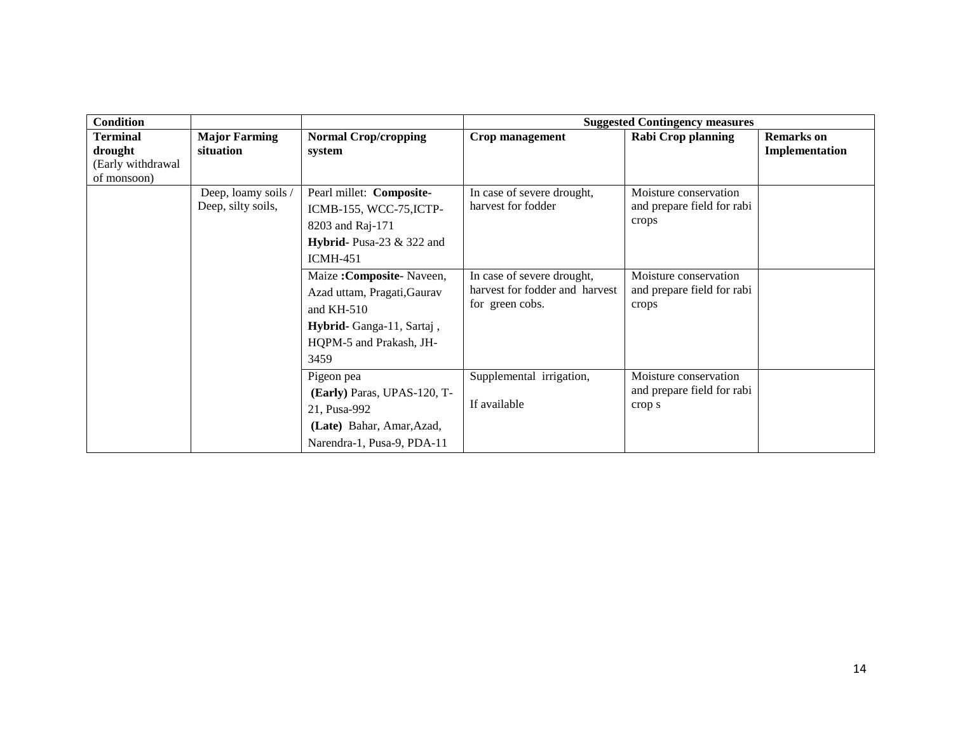| <b>Condition</b>  |                      |                             |                                | <b>Suggested Contingency measures</b> |                   |
|-------------------|----------------------|-----------------------------|--------------------------------|---------------------------------------|-------------------|
| <b>Terminal</b>   | <b>Major Farming</b> | <b>Normal Crop/cropping</b> | Crop management                | Rabi Crop planning                    | <b>Remarks</b> on |
| drought           | situation            | system                      |                                |                                       | Implementation    |
| (Early withdrawal |                      |                             |                                |                                       |                   |
| of monsoon)       |                      |                             |                                |                                       |                   |
|                   | Deep, loamy soils /  | Pearl millet: Composite-    | In case of severe drought,     | Moisture conservation                 |                   |
|                   | Deep, silty soils,   | ICMB-155, WCC-75, ICTP-     | harvest for fodder             | and prepare field for rabi            |                   |
|                   |                      | 8203 and Raj-171            |                                | crops                                 |                   |
|                   |                      | Hybrid-Pusa-23 & 322 and    |                                |                                       |                   |
|                   |                      | $ICMH-451$                  |                                |                                       |                   |
|                   |                      | Maize: Composite-Naveen,    | In case of severe drought,     | Moisture conservation                 |                   |
|                   |                      | Azad uttam, Pragati, Gaurav | harvest for fodder and harvest | and prepare field for rabi            |                   |
|                   |                      | and $KH-510$                | for green cobs.                | crops                                 |                   |
|                   |                      | Hybrid-Ganga-11, Sartaj,    |                                |                                       |                   |
|                   |                      | HQPM-5 and Prakash, JH-     |                                |                                       |                   |
|                   |                      | 3459                        |                                |                                       |                   |
|                   |                      | Pigeon pea                  | Supplemental irrigation,       | Moisture conservation                 |                   |
|                   |                      | (Early) Paras, UPAS-120, T- |                                | and prepare field for rabi            |                   |
|                   |                      | 21, Pusa-992                | If available                   | crop s                                |                   |
|                   |                      | (Late) Bahar, Amar, Azad,   |                                |                                       |                   |
|                   |                      | Narendra-1, Pusa-9, PDA-11  |                                |                                       |                   |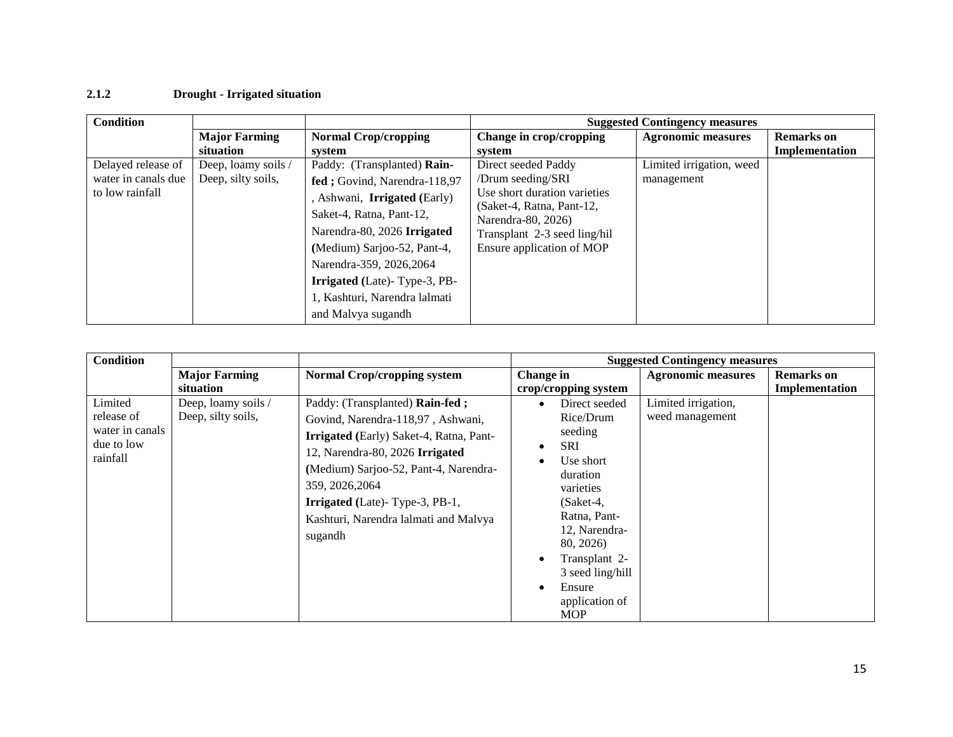### **2.1.2 Drought - Irrigated situation**

| <b>Condition</b>    |                      |                                     |                                                           | <b>Suggested Contingency measures</b> |                   |
|---------------------|----------------------|-------------------------------------|-----------------------------------------------------------|---------------------------------------|-------------------|
|                     | <b>Major Farming</b> | <b>Normal Crop/cropping</b>         | Change in crop/cropping                                   | <b>Agronomic measures</b>             | <b>Remarks</b> on |
|                     | situation            | system                              | system                                                    |                                       | Implementation    |
| Delayed release of  | Deep, loamy soils /  | Paddy: (Transplanted) Rain-         | Direct seeded Paddy                                       | Limited irrigation, weed              |                   |
| water in canals due | Deep, silty soils,   | fed; Govind, Narendra-118,97        | /Drum seeding/SRI                                         | management                            |                   |
| to low rainfall     |                      | , Ashwani, <b>Irrigated</b> (Early) | Use short duration varieties<br>(Saket-4, Ratna, Pant-12, |                                       |                   |
|                     |                      | Saket-4, Ratna, Pant-12,            | Narendra-80, 2026)                                        |                                       |                   |
|                     |                      | Narendra-80, 2026 Irrigated         | Transplant 2-3 seed ling/hil                              |                                       |                   |
|                     |                      | (Medium) Sarjoo-52, Pant-4,         | Ensure application of MOP                                 |                                       |                   |
|                     |                      | Narendra-359, 2026, 2064            |                                                           |                                       |                   |
|                     |                      | <b>Irrigated</b> (Late)-Type-3, PB- |                                                           |                                       |                   |
|                     |                      | 1, Kashturi, Narendra lalmati       |                                                           |                                       |                   |
|                     |                      | and Malvya sugandh                  |                                                           |                                       |                   |

| <b>Condition</b>                                                   |                                           |                                                                                                                                                                                                                                                                                                                    |                                                                                                                                                                                                                                                                 | <b>Suggested Contingency measures</b>  |                                     |
|--------------------------------------------------------------------|-------------------------------------------|--------------------------------------------------------------------------------------------------------------------------------------------------------------------------------------------------------------------------------------------------------------------------------------------------------------------|-----------------------------------------------------------------------------------------------------------------------------------------------------------------------------------------------------------------------------------------------------------------|----------------------------------------|-------------------------------------|
|                                                                    | <b>Major Farming</b><br>situation         | <b>Normal Crop/cropping system</b>                                                                                                                                                                                                                                                                                 | Change in<br>crop/cropping system                                                                                                                                                                                                                               | <b>Agronomic measures</b>              | <b>Remarks</b> on<br>Implementation |
| Limited<br>release of<br>water in canals<br>due to low<br>rainfall | Deep, loamy soils /<br>Deep, silty soils, | Paddy: (Transplanted) Rain-fed;<br>Govind, Narendra-118,97, Ashwani,<br><b>Irrigated</b> (Early) Saket-4, Ratna, Pant-<br>12, Narendra-80, 2026 Irrigated<br>(Medium) Sarjoo-52, Pant-4, Narendra-<br>359, 2026, 2064<br><b>Irrigated</b> (Late)-Type-3, PB-1,<br>Kashturi, Narendra lalmati and Malvya<br>sugandh | Direct seeded<br>Rice/Drum<br>seeding<br><b>SRI</b><br>$\bullet$<br>Use short<br>$\bullet$<br>duration<br>varieties<br>$(Saket-4)$<br>Ratna, Pant-<br>12, Narendra-<br>80, 2026)<br>Transplant 2-<br>3 seed ling/hill<br>Ensure<br>application of<br><b>MOP</b> | Limited irrigation,<br>weed management |                                     |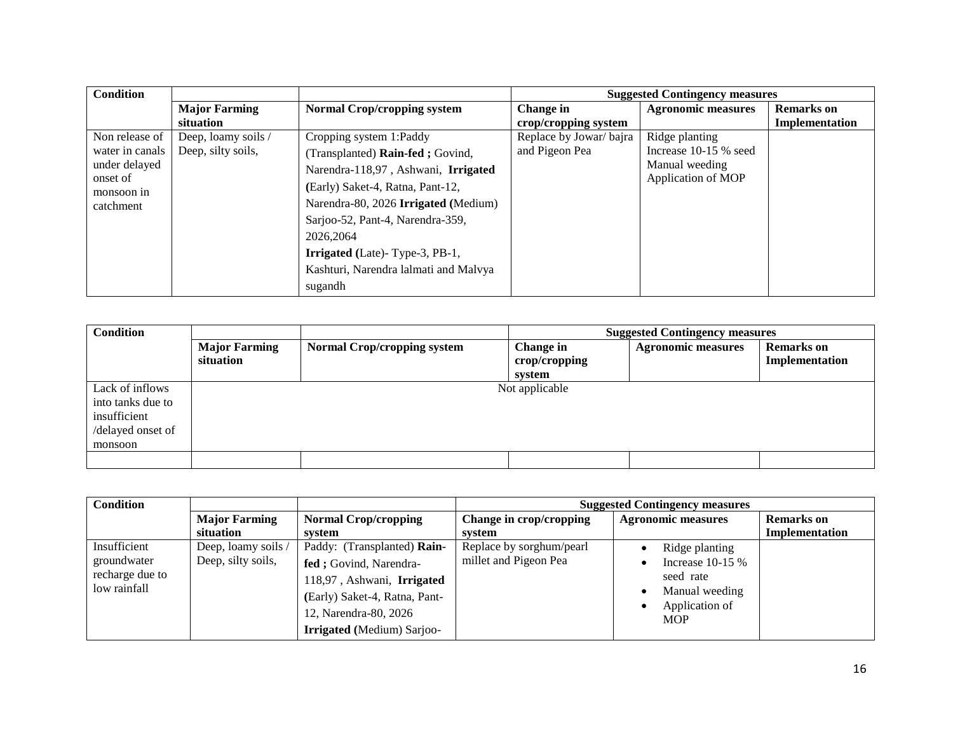| <b>Condition</b>       |                      |                                       |                        | <b>Suggested Contingency measures</b> |                   |
|------------------------|----------------------|---------------------------------------|------------------------|---------------------------------------|-------------------|
|                        | <b>Major Farming</b> | <b>Normal Crop/cropping system</b>    | Change in              | <b>Agronomic measures</b>             | <b>Remarks</b> on |
|                        | situation            |                                       | crop/cropping system   |                                       | Implementation    |
| Non release of         | Deep, loamy soils /  | Cropping system 1:Paddy               | Replace by Jowar/bajra | Ridge planting                        |                   |
| water in canals        | Deep, silty soils,   | (Transplanted) Rain-fed; Govind,      | and Pigeon Pea         | Increase 10-15 % seed                 |                   |
| under delayed          |                      | Narendra-118,97, Ashwani, Irrigated   |                        | Manual weeding                        |                   |
| onset of<br>monsoon in |                      | (Early) Saket-4, Ratna, Pant-12,      |                        | Application of MOP                    |                   |
| catchment              |                      | Narendra-80, 2026 Irrigated (Medium)  |                        |                                       |                   |
|                        |                      | Sarjoo-52, Pant-4, Narendra-359,      |                        |                                       |                   |
|                        |                      | 2026.2064                             |                        |                                       |                   |
|                        |                      | <b>Irrigated</b> (Late)-Type-3, PB-1, |                        |                                       |                   |
|                        |                      | Kashturi, Narendra lalmati and Malvya |                        |                                       |                   |
|                        |                      | sugandh                               |                        |                                       |                   |

| <b>Condition</b>                                                                     |                                   |                                    | <b>Suggested Contingency measures</b> |                           |                                     |
|--------------------------------------------------------------------------------------|-----------------------------------|------------------------------------|---------------------------------------|---------------------------|-------------------------------------|
|                                                                                      | <b>Major Farming</b><br>situation | <b>Normal Crop/cropping system</b> | Change in<br>crop/cropping<br>system  | <b>Agronomic measures</b> | <b>Remarks</b> on<br>Implementation |
| Lack of inflows<br>into tanks due to<br>insufficient<br>/delayed onset of<br>monsoon |                                   |                                    | Not applicable                        |                           |                                     |
|                                                                                      |                                   |                                    |                                       |                           |                                     |

| <b>Condition</b>                                               |                                           |                                                                                                                                                                                     | <b>Suggested Contingency measures</b>             |                                                                                                    |                   |
|----------------------------------------------------------------|-------------------------------------------|-------------------------------------------------------------------------------------------------------------------------------------------------------------------------------------|---------------------------------------------------|----------------------------------------------------------------------------------------------------|-------------------|
|                                                                | <b>Major Farming</b>                      | <b>Normal Crop/cropping</b>                                                                                                                                                         | Change in crop/cropping                           | <b>Agronomic measures</b>                                                                          | <b>Remarks</b> on |
|                                                                | situation                                 | system                                                                                                                                                                              | system                                            |                                                                                                    | Implementation    |
| Insufficient<br>groundwater<br>recharge due to<br>low rainfall | Deep, loamy soils /<br>Deep, silty soils, | Paddy: (Transplanted) Rain-<br>fed ; Govind, Narendra-<br>118,97, Ashwani, Irrigated<br>(Early) Saket-4, Ratna, Pant-<br>12, Narendra-80, 2026<br><b>Irrigated</b> (Medium) Sarjoo- | Replace by sorghum/pearl<br>millet and Pigeon Pea | Ridge planting<br>Increase $10-15%$<br>seed rate<br>Manual weeding<br>Application of<br><b>MOP</b> |                   |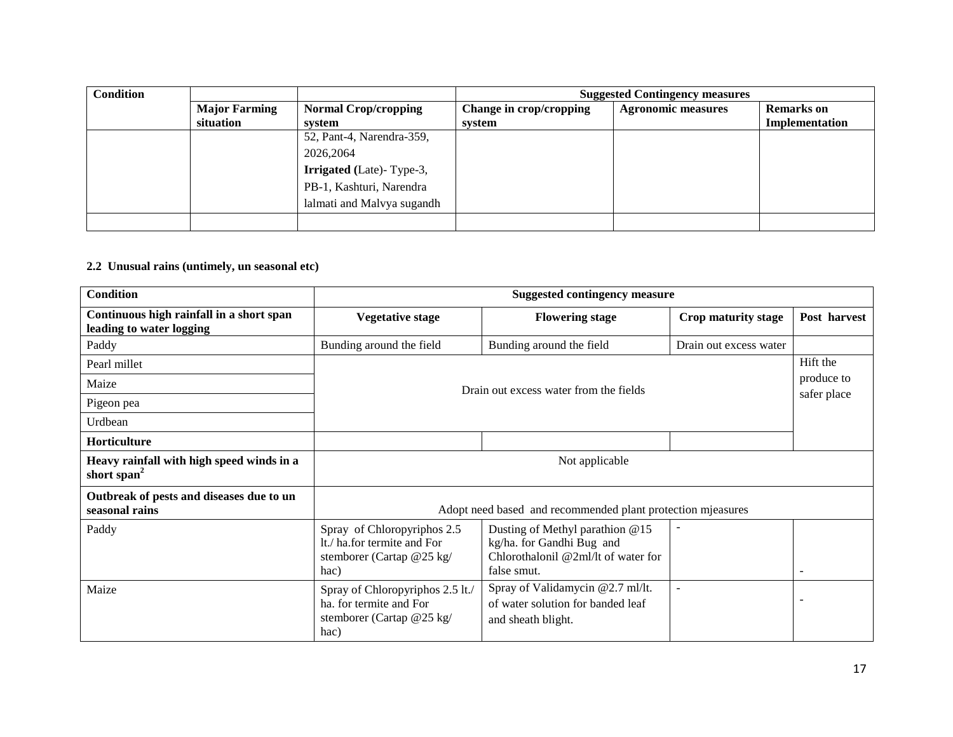| <b>Condition</b> |                      |                                 | <b>Suggested Contingency measures</b> |                           |                   |
|------------------|----------------------|---------------------------------|---------------------------------------|---------------------------|-------------------|
|                  | <b>Major Farming</b> | <b>Normal Crop/cropping</b>     | Change in crop/cropping               | <b>Agronomic measures</b> | <b>Remarks</b> on |
|                  | situation            | system                          | system                                |                           | Implementation    |
|                  |                      | 52, Pant-4, Narendra-359,       |                                       |                           |                   |
|                  |                      | 2026,2064                       |                                       |                           |                   |
|                  |                      | <b>Irrigated</b> (Late)-Type-3, |                                       |                           |                   |
|                  |                      | PB-1, Kashturi, Narendra        |                                       |                           |                   |
|                  |                      | lalmati and Malvya sugandh      |                                       |                           |                   |
|                  |                      |                                 |                                       |                           |                   |

#### **2.2 Unusual rains (untimely, un seasonal etc)**

| <b>Condition</b>                                                     |                                                                                                  | <b>Suggested contingency measure</b>                                                                                |                          |                |
|----------------------------------------------------------------------|--------------------------------------------------------------------------------------------------|---------------------------------------------------------------------------------------------------------------------|--------------------------|----------------|
| Continuous high rainfall in a short span<br>leading to water logging | <b>Vegetative stage</b>                                                                          | <b>Flowering stage</b>                                                                                              | Crop maturity stage      | Post harvest   |
| Paddy                                                                | Bunding around the field                                                                         | Bunding around the field                                                                                            | Drain out excess water   |                |
| Pearl millet                                                         |                                                                                                  |                                                                                                                     |                          | Hift the       |
| Maize                                                                |                                                                                                  | Drain out excess water from the fields                                                                              |                          | produce to     |
| Pigeon pea                                                           |                                                                                                  |                                                                                                                     |                          | safer place    |
| Urdbean                                                              |                                                                                                  |                                                                                                                     |                          |                |
| Horticulture                                                         |                                                                                                  |                                                                                                                     |                          |                |
| Heavy rainfall with high speed winds in a<br>short span <sup>2</sup> | Not applicable                                                                                   |                                                                                                                     |                          |                |
| Outbreak of pests and diseases due to un<br>seasonal rains           | Adopt need based and recommended plant protection mjeasures                                      |                                                                                                                     |                          |                |
| Paddy                                                                | Spray of Chloropyriphos 2.5<br>It./ ha.for termite and For<br>stemborer (Cartap @25 kg/<br>hac)  | Dusting of Methyl parathion @15<br>kg/ha. for Gandhi Bug and<br>Chlorothalonil $@2m1/t$ of water for<br>false smut. |                          | $\overline{a}$ |
| Maize                                                                | Spray of Chloropyriphos 2.5 lt./<br>ha. for termite and For<br>stemborer (Cartap @25 kg/<br>hac) | Spray of Validamycin @2.7 ml/lt.<br>of water solution for banded leaf<br>and sheath blight.                         | $\overline{\phantom{a}}$ |                |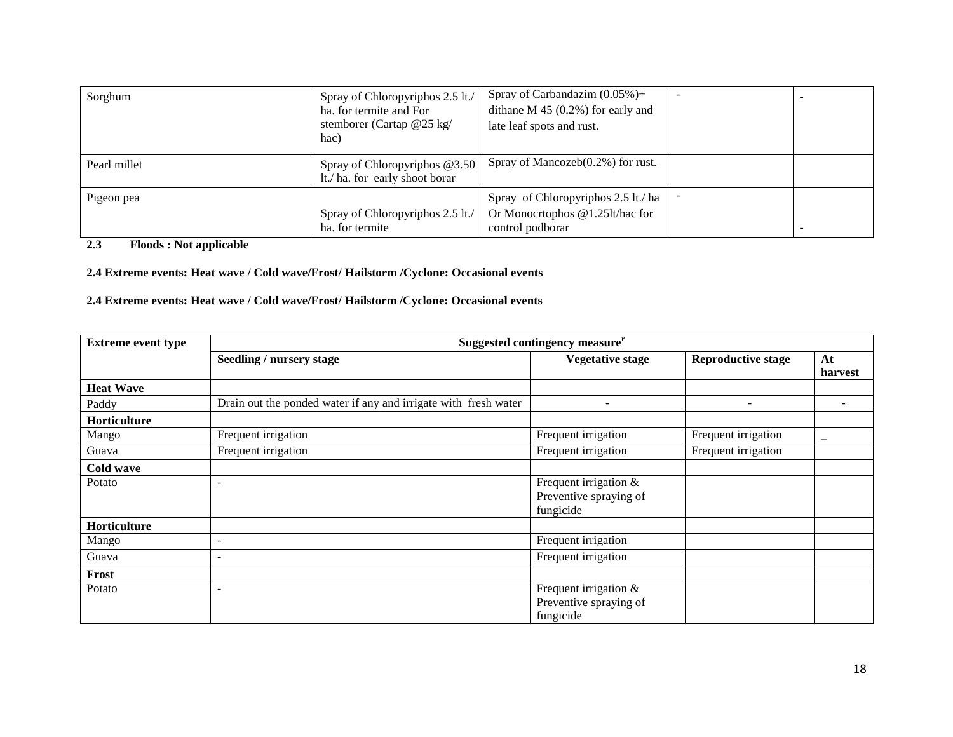| Sorghum      | Spray of Chloropyriphos 2.5 lt./<br>ha. for termite and For<br>stemborer (Cartap $@25$ kg/<br>hac) | Spray of Carbandazim $(0.05\%)+$<br>dithane $M$ 45 (0.2%) for early and<br>late leaf spots and rust. | $\overline{\phantom{0}}$ |  |
|--------------|----------------------------------------------------------------------------------------------------|------------------------------------------------------------------------------------------------------|--------------------------|--|
| Pearl millet | Spray of Chloropyriphos @3.50<br>It./ ha. for early shoot borar                                    | Spray of Mancozeb $(0.2\%)$ for rust.                                                                |                          |  |
| Pigeon pea   | Spray of Chloropyriphos 2.5 lt./<br>ha. for termite                                                | Spray of Chloropyriphos 2.5 lt./ ha<br>Or Monocrtophos @1.25lt/hac for<br>control podborar           |                          |  |

#### **2.3 Floods : Not applicable**

#### **2.4 Extreme events: Heat wave / Cold wave/Frost/ Hailstorm /Cyclone: Occasional events**

#### **2.4 Extreme events: Heat wave / Cold wave/Frost/ Hailstorm /Cyclone: Occasional events**

| <b>Extreme event type</b> | Suggested contingency measure <sup>r</sup>                      |                                                                |                           |                          |  |
|---------------------------|-----------------------------------------------------------------|----------------------------------------------------------------|---------------------------|--------------------------|--|
|                           | Seedling / nursery stage                                        | <b>Vegetative stage</b>                                        | <b>Reproductive stage</b> | At<br>harvest            |  |
| <b>Heat Wave</b>          |                                                                 |                                                                |                           |                          |  |
| Paddy                     | Drain out the ponded water if any and irrigate with fresh water |                                                                | $\overline{\phantom{a}}$  |                          |  |
| Horticulture              |                                                                 |                                                                |                           |                          |  |
| Mango                     | Frequent irrigation                                             | Frequent irrigation                                            | Frequent irrigation       | $\overline{\phantom{m}}$ |  |
| Guava                     | Frequent irrigation                                             | Frequent irrigation                                            | Frequent irrigation       |                          |  |
| Cold wave                 |                                                                 |                                                                |                           |                          |  |
| Potato                    | $\overline{\phantom{0}}$                                        | Frequent irrigation &<br>Preventive spraying of<br>fungicide   |                           |                          |  |
| Horticulture              |                                                                 |                                                                |                           |                          |  |
| Mango                     | $\overline{\phantom{a}}$                                        | Frequent irrigation                                            |                           |                          |  |
| Guava                     | $\overline{\phantom{a}}$                                        | Frequent irrigation                                            |                           |                          |  |
| Frost                     |                                                                 |                                                                |                           |                          |  |
| Potato                    | $\overline{\phantom{a}}$                                        | Frequent irrigation $&$<br>Preventive spraying of<br>fungicide |                           |                          |  |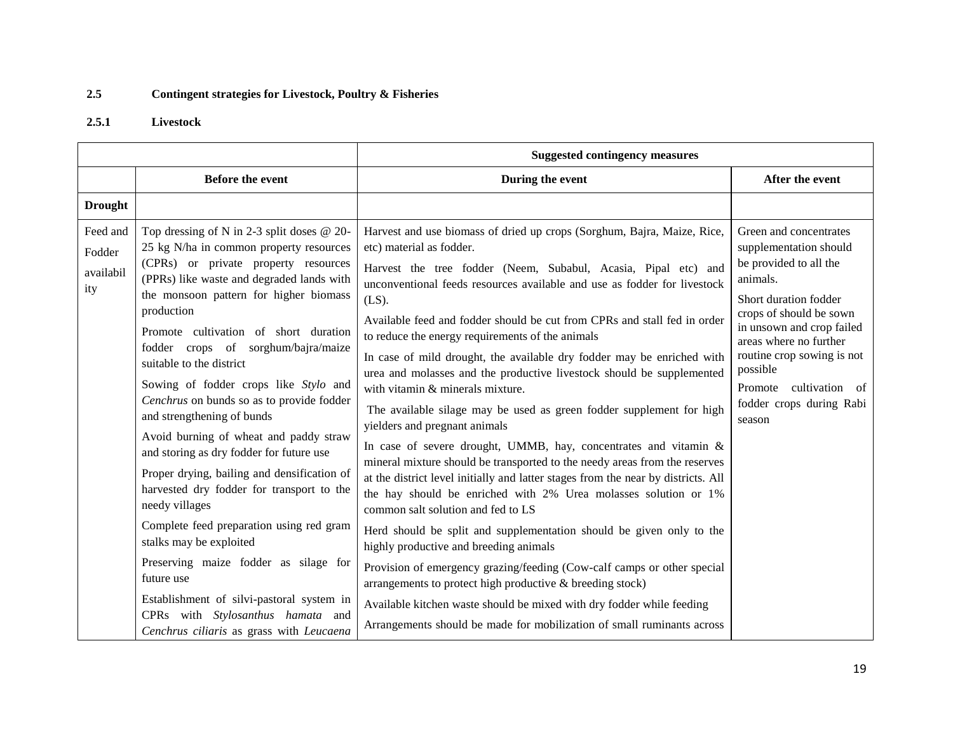# **2.5 Contingent strategies for Livestock, Poultry & Fisheries**

### **2.5.1 Livestock**

|                                        |                                                                                                                                                                                                                                                                                                                                                                                                                                                                                                                                                                                                                                                                                                                                                                                                                                                                                                                                      | <b>Suggested contingency measures</b>                                                                                                                                                                                                                                                                                                                                                                                                                                                                                                                                                                                                                                                                                                                                                                                                                                                                                                                                                                                                                                                                                                                                                                                                                                                                                                                                                                                                                         |                                                                                                                                                                                                                                                                                                                |
|----------------------------------------|--------------------------------------------------------------------------------------------------------------------------------------------------------------------------------------------------------------------------------------------------------------------------------------------------------------------------------------------------------------------------------------------------------------------------------------------------------------------------------------------------------------------------------------------------------------------------------------------------------------------------------------------------------------------------------------------------------------------------------------------------------------------------------------------------------------------------------------------------------------------------------------------------------------------------------------|---------------------------------------------------------------------------------------------------------------------------------------------------------------------------------------------------------------------------------------------------------------------------------------------------------------------------------------------------------------------------------------------------------------------------------------------------------------------------------------------------------------------------------------------------------------------------------------------------------------------------------------------------------------------------------------------------------------------------------------------------------------------------------------------------------------------------------------------------------------------------------------------------------------------------------------------------------------------------------------------------------------------------------------------------------------------------------------------------------------------------------------------------------------------------------------------------------------------------------------------------------------------------------------------------------------------------------------------------------------------------------------------------------------------------------------------------------------|----------------------------------------------------------------------------------------------------------------------------------------------------------------------------------------------------------------------------------------------------------------------------------------------------------------|
|                                        | <b>Before the event</b>                                                                                                                                                                                                                                                                                                                                                                                                                                                                                                                                                                                                                                                                                                                                                                                                                                                                                                              | During the event                                                                                                                                                                                                                                                                                                                                                                                                                                                                                                                                                                                                                                                                                                                                                                                                                                                                                                                                                                                                                                                                                                                                                                                                                                                                                                                                                                                                                                              | After the event                                                                                                                                                                                                                                                                                                |
| <b>Drought</b>                         |                                                                                                                                                                                                                                                                                                                                                                                                                                                                                                                                                                                                                                                                                                                                                                                                                                                                                                                                      |                                                                                                                                                                                                                                                                                                                                                                                                                                                                                                                                                                                                                                                                                                                                                                                                                                                                                                                                                                                                                                                                                                                                                                                                                                                                                                                                                                                                                                                               |                                                                                                                                                                                                                                                                                                                |
| Feed and<br>Fodder<br>availabil<br>ity | Top dressing of N in 2-3 split doses $@$ 20-<br>25 kg N/ha in common property resources<br>(CPRs) or private property resources<br>(PPRs) like waste and degraded lands with<br>the monsoon pattern for higher biomass<br>production<br>Promote cultivation of short duration<br>fodder crops of sorghum/bajra/maize<br>suitable to the district<br>Sowing of fodder crops like Stylo and<br>Cenchrus on bunds so as to provide fodder<br>and strengthening of bunds<br>Avoid burning of wheat and paddy straw<br>and storing as dry fodder for future use<br>Proper drying, bailing and densification of<br>harvested dry fodder for transport to the<br>needy villages<br>Complete feed preparation using red gram<br>stalks may be exploited<br>Preserving maize fodder as silage for<br>future use<br>Establishment of silvi-pastoral system in<br>CPRs with Stylosanthus hamata and<br>Cenchrus ciliaris as grass with Leucaena | Harvest and use biomass of dried up crops (Sorghum, Bajra, Maize, Rice,<br>etc) material as fodder.<br>Harvest the tree fodder (Neem, Subabul, Acasia, Pipal etc) and<br>unconventional feeds resources available and use as fodder for livestock<br>$(LS)$ .<br>Available feed and fodder should be cut from CPRs and stall fed in order<br>to reduce the energy requirements of the animals<br>In case of mild drought, the available dry fodder may be enriched with<br>urea and molasses and the productive livestock should be supplemented<br>with vitamin & minerals mixture.<br>The available silage may be used as green fodder supplement for high<br>yielders and pregnant animals<br>In case of severe drought, UMMB, hay, concentrates and vitamin $\&$<br>mineral mixture should be transported to the needy areas from the reserves<br>at the district level initially and latter stages from the near by districts. All<br>the hay should be enriched with 2% Urea molasses solution or 1%<br>common salt solution and fed to LS<br>Herd should be split and supplementation should be given only to the<br>highly productive and breeding animals<br>Provision of emergency grazing/feeding (Cow-calf camps or other special<br>arrangements to protect high productive & breeding stock)<br>Available kitchen waste should be mixed with dry fodder while feeding<br>Arrangements should be made for mobilization of small ruminants across | Green and concentrates<br>supplementation should<br>be provided to all the<br>animals.<br>Short duration fodder<br>crops of should be sown<br>in unsown and crop failed<br>areas where no further<br>routine crop sowing is not<br>possible<br>cultivation of<br>Promote<br>fodder crops during Rabi<br>season |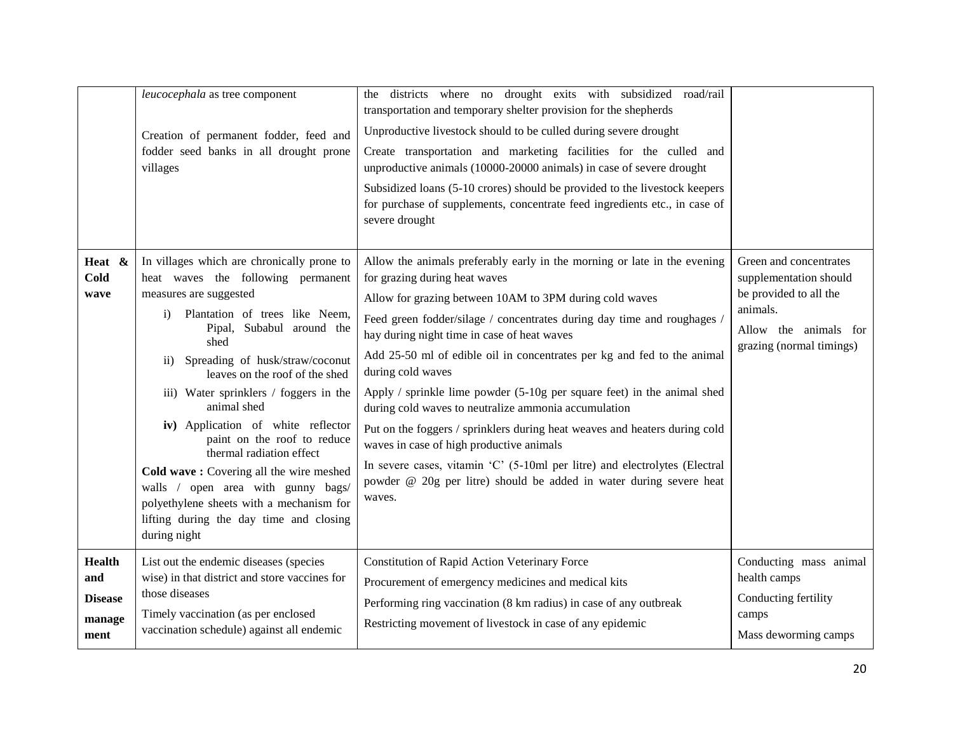|                                                          | leucocephala as tree component<br>Creation of permanent fodder, feed and<br>fodder seed banks in all drought prone<br>villages                                                                                                                                                                                                                                                                                                                                                                                                                                                                                                                | the districts where no drought exits with subsidized road/rail<br>transportation and temporary shelter provision for the shepherds<br>Unproductive livestock should to be culled during severe drought<br>Create transportation and marketing facilities for the culled and<br>unproductive animals (10000-20000 animals) in case of severe drought<br>Subsidized loans (5-10 crores) should be provided to the livestock keepers<br>for purchase of supplements, concentrate feed ingredients etc., in case of<br>severe drought                                                                                                                                                                                                                                                                                          |                                                                                                                                             |
|----------------------------------------------------------|-----------------------------------------------------------------------------------------------------------------------------------------------------------------------------------------------------------------------------------------------------------------------------------------------------------------------------------------------------------------------------------------------------------------------------------------------------------------------------------------------------------------------------------------------------------------------------------------------------------------------------------------------|----------------------------------------------------------------------------------------------------------------------------------------------------------------------------------------------------------------------------------------------------------------------------------------------------------------------------------------------------------------------------------------------------------------------------------------------------------------------------------------------------------------------------------------------------------------------------------------------------------------------------------------------------------------------------------------------------------------------------------------------------------------------------------------------------------------------------|---------------------------------------------------------------------------------------------------------------------------------------------|
| Heat &<br>Cold<br>wave                                   | In villages which are chronically prone to<br>heat waves the following permanent<br>measures are suggested<br>Plantation of trees like Neem,<br>$\mathbf{i}$<br>Pipal, Subabul around the<br>shed<br>Spreading of husk/straw/coconut<br>$\overline{11}$ )<br>leaves on the roof of the shed<br>iii) Water sprinklers / foggers in the<br>animal shed<br>iv) Application of white reflector<br>paint on the roof to reduce<br>thermal radiation effect<br>Cold wave: Covering all the wire meshed<br>walls / open area with gunny bags/<br>polyethylene sheets with a mechanism for<br>lifting during the day time and closing<br>during night | Allow the animals preferably early in the morning or late in the evening<br>for grazing during heat waves<br>Allow for grazing between 10AM to 3PM during cold waves<br>Feed green fodder/silage / concentrates during day time and roughages /<br>hay during night time in case of heat waves<br>Add 25-50 ml of edible oil in concentrates per kg and fed to the animal<br>during cold waves<br>Apply / sprinkle lime powder (5-10g per square feet) in the animal shed<br>during cold waves to neutralize ammonia accumulation<br>Put on the foggers / sprinklers during heat weaves and heaters during cold<br>waves in case of high productive animals<br>In severe cases, vitamin 'C' (5-10ml per litre) and electrolytes (Electral<br>powder @ 20g per litre) should be added in water during severe heat<br>waves. | Green and concentrates<br>supplementation should<br>be provided to all the<br>animals.<br>Allow the animals for<br>grazing (normal timings) |
| <b>Health</b><br>and<br><b>Disease</b><br>manage<br>ment | List out the endemic diseases (species<br>wise) in that district and store vaccines for<br>those diseases<br>Timely vaccination (as per enclosed<br>vaccination schedule) against all endemic                                                                                                                                                                                                                                                                                                                                                                                                                                                 | Constitution of Rapid Action Veterinary Force<br>Procurement of emergency medicines and medical kits<br>Performing ring vaccination (8 km radius) in case of any outbreak<br>Restricting movement of livestock in case of any epidemic                                                                                                                                                                                                                                                                                                                                                                                                                                                                                                                                                                                     | Conducting mass animal<br>health camps<br>Conducting fertility<br>camps<br>Mass deworming camps                                             |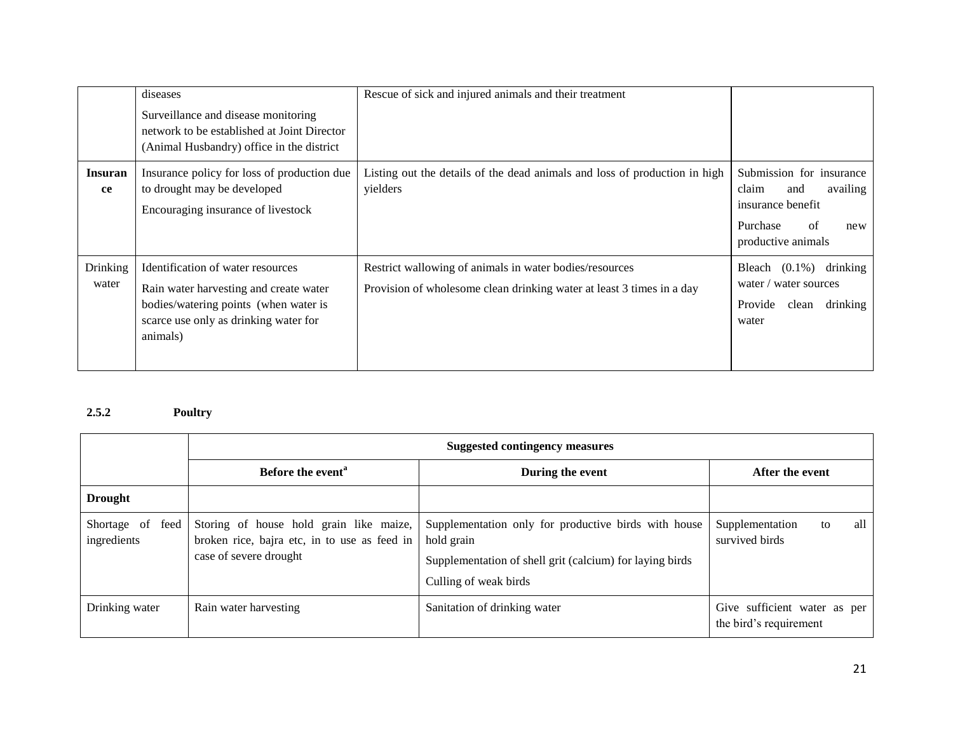|                      | diseases<br>Surveillance and disease monitoring<br>network to be established at Joint Director<br>(Animal Husbandry) office in the district                               | Rescue of sick and injured animals and their treatment                                                                           |                                                                                                                          |
|----------------------|---------------------------------------------------------------------------------------------------------------------------------------------------------------------------|----------------------------------------------------------------------------------------------------------------------------------|--------------------------------------------------------------------------------------------------------------------------|
| <b>Insuran</b><br>ce | Insurance policy for loss of production due<br>to drought may be developed<br>Encouraging insurance of livestock                                                          | Listing out the details of the dead animals and loss of production in high<br>yielders                                           | Submission for insurance<br>claim<br>availing<br>and<br>insurance benefit<br>of<br>Purchase<br>new<br>productive animals |
| Drinking<br>water    | Identification of water resources<br>Rain water harvesting and create water<br>bodies/watering points (when water is<br>scarce use only as drinking water for<br>animals) | Restrict wallowing of animals in water bodies/resources<br>Provision of wholesome clean drinking water at least 3 times in a day | drinking<br>Bleach $(0.1\%)$<br>water / water sources<br>Provide<br>drinking<br>clean<br>water                           |

# **2.5.2 Poultry**

|                                    | <b>Suggested contingency measures</b>                                                                             |                                                                                                                                                         |                                                        |  |
|------------------------------------|-------------------------------------------------------------------------------------------------------------------|---------------------------------------------------------------------------------------------------------------------------------------------------------|--------------------------------------------------------|--|
|                                    | Before the event <sup>a</sup>                                                                                     | During the event                                                                                                                                        | After the event                                        |  |
| <b>Drought</b>                     |                                                                                                                   |                                                                                                                                                         |                                                        |  |
| Shortage of<br>feed<br>ingredients | Storing of house hold grain like maize,<br>broken rice, bajra etc, in to use as feed in<br>case of severe drought | Supplementation only for productive birds with house<br>hold grain<br>Supplementation of shell grit (calcium) for laying birds<br>Culling of weak birds | all<br>Supplementation<br>to<br>survived birds         |  |
| Drinking water                     | Rain water harvesting                                                                                             | Sanitation of drinking water                                                                                                                            | Give sufficient water as per<br>the bird's requirement |  |